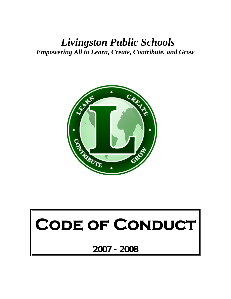# *Livingston Public Schools Empowering All to Learn, Create, Contribute, and Grow*



# CODE OF CONDUCT

**2007 - 2008**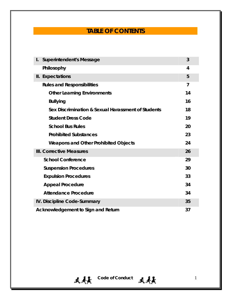# **TABLE OF CONTENTS**

| $\mathbf{I}$ .                           | <b>Superintendent's Message</b>                    | 3  |
|------------------------------------------|----------------------------------------------------|----|
|                                          | Philosophy                                         | 4  |
|                                          | II. Expectations                                   | 5  |
|                                          | <b>Rules and Responsibilities</b>                  | 7  |
|                                          | <b>Other Learning Environments</b>                 | 14 |
|                                          | <b>Bullying</b>                                    | 16 |
|                                          | Sex Discrimination & Sexual Harassment of Students | 18 |
|                                          | <b>Student Dress Code</b>                          | 19 |
|                                          | <b>School Bus Rules</b>                            | 20 |
|                                          | <b>Prohibited Substances</b>                       | 23 |
|                                          | <b>Weapons and Other Prohibited Objects</b>        | 24 |
| III. Corrective Measures                 |                                                    |    |
|                                          | <b>School Conference</b>                           | 29 |
|                                          | <b>Suspension Procedures</b>                       | 30 |
|                                          | <b>Expulsion Procedures</b>                        | 33 |
|                                          | <b>Appeal Procedure</b>                            | 34 |
|                                          | <b>Attendance Procedure</b>                        | 34 |
| IV. Discipline Code-Summary              |                                                    |    |
| 37<br>Acknowledgement to Sign and Return |                                                    |    |

天美 Code of Conduct 天美 1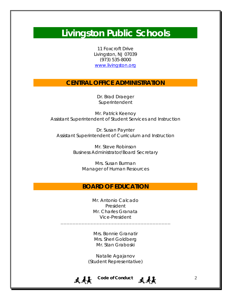# **Livingston Public Schools**

11 Foxcroft Drive Livingston, NJ 07039 (973) 535-8000 www.livingston.org

### **CENTRAL OFFICE ADMINISTRATION**

Dr. Brad Draeger Superintendent

Mr. Patrick Keenoy Assistant Superintendent of Student Services and Instruction

Dr. Susan Paynter Assistant Superintendent of Curriculum and Instruction

> Mr. Steve Robinson Business Administrator/Board Secretary

> > Mrs. Susan Burman Manager of Human Resources

### **BOARD OF EDUCATION**

Mr. Antonio Calcado President Mr. Charles Granata Vice-President

……………………………………………………………….

Mrs. Bonnie Granatir Mrs. Sheri Goldberg Mr. Stan Graboski

Natalie Agajanov (Student Representative)



天美 Code of Conduct 天美美 2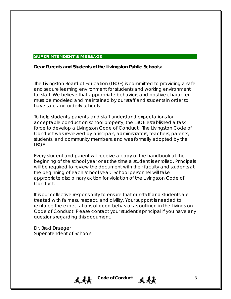#### **Superintendent's Message**

#### **Dear Parents and Students of the Livingston Public Schools:**

The Livingston Board of Education (LBOE) is committed to providing a safe and secure learning environment for students and working environment for staff. We believe that appropriate behaviors and positive character must be modeled and maintained by our staff and students in order to have safe and orderly schools.

To help students, parents, and staff understand expectations for acceptable conduct on school property, the LBOE established a task force to develop a Livingston Code of Conduct. The Livingston Code of Conduct was reviewed by principals, administrators, teachers, parents, students, and community members, and was formally adopted by the LBOE.

Every student and parent will receive a copy of the handbook at the beginning of the school year or at the time a student is enrolled. Principals will be required to review the document with their faculty and students at the beginning of each school year. School personnel will take appropriate disciplinary action for violation of the Livingston Code of Conduct.

It is our collective responsibility to ensure that our staff and students are treated with fairness, respect, and civility. Your support is needed to reinforce the expectations of good behavior as outlined in the Livingston Code of Conduct. Please contact your student's principal if you have any questions regarding this document.

Dr. Brad Draeger Superintendent of Schools

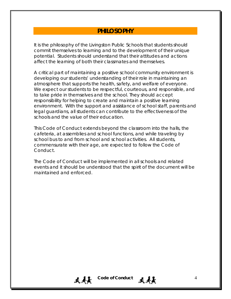### **PHILOSOPHY**

It is the philosophy of the Livingston Public Schools that students should commit themselves to learning and to the development of their unique potential. Students should understand that their attitudes and actions affect the learning of both their classmates and themselves.

A critical part of maintaining a positive school community environment is developing our students' understanding of their role in maintaining an atmosphere that supports the health, safety, and welfare of everyone. We expect our students to be respectful, courteous, and responsible, and to take pride in themselves and the school. They should accept responsibility for helping to create and maintain a positive learning environment. With the support and assistance of school staff, parents and legal guardians, all students can contribute to the effectiveness of the schools and the value of their education.

This Code of Conduct extends beyond the classroom into the halls, the cafeteria, at assemblies and school functions, and while traveling by school bus to and from school and school activities. All students, commensurate with their age, are expected to follow the Code of Conduct.

The Code of Conduct will be implemented in all schools and related events and it should be understood that the spirit of the document will be maintained and enforced.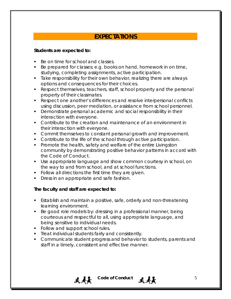# **EXPECTATIONS**

### **Students are expected to:**

- Be on time for school and classes.
- Be prepared for classes; e.g. books on hand, homework in on time, studying, completing assignments, active participation.
- **Take responsibility for their own behavior, realizing there are always** options and consequences for their choices.
- Respect themselves, teachers, staff, school property and the personal property of their classmates.
- Respect one another's differences and resolve interpersonal conflicts using discussion, peer mediation, or assistance from school personnel.
- **Demonstrate personal academic and social responsibility in their** interaction with everyone.
- Contribute to the creation and maintenance of an environment in their interaction with everyone.
- **Commit themselves to constant personal growth and improvement.**
- **Contribute to the life of the school through active participation.**
- **Promote the health, safety and welfare of the entire Livingston** community by demonstrating positive behavior patterns in accord with the Code of Conduct.
- Use appropriate language and show common courtesy in school, on the way to and from school, and at school functions.
- Follow all directions the first time they are given.
- Dress in an appropriate and safe fashion.

### **The faculty and staff are expected to:**

- **Establish and maintain a positive, safe, orderly and non-threatening** learning environment.
- Be good role models by: dressing in a professional manner, being courteous and respectful to all, using appropriate language, and being sensitive to individual needs.
- Follow and support school rules.
- **Treat individual students fairly and consistently.**
- **Communicate student progress and behavior to students, parents and** staff in a timely, consistent and effective manner.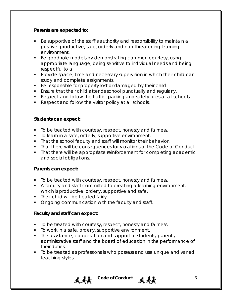### **Parents are expected to:**

- Be supportive of the staff's authority and responsibility to maintain a positive, productive, safe, orderly and non-threatening learning environment.
- Be good role models by demonstrating common courtesy, using appropriate language, being sensitive to individual needs and being respectful to all.
- **Provide space, time and necessary supervision in which their child can** study and complete assignments.
- Be responsible for property lost or damaged by their child.
- **Ensure that their child attends school punctually and regularly.**
- Respect and follow the traffic, parking and safety rules at all schools.
- Respect and follow the visitor policy at all schools.

### **Students can expect:**

- To be treated with courtesy, respect, honesty and fairness.
- **To learn in a safe, orderly, supportive environment.**
- **That the school faculty and staff will monitor their behavior.**
- That there will be consequences for violations of the Code of Conduct.
- That there will be appropriate reinforcement for completing academic and social obligations.

### **Parents can expect:**

- To be treated with courtesy, respect, honesty and fairness.
- A faculty and staff committed to creating a learning environment, which is productive, orderly, supportive and safe.
- Their child will be treated fairly.
- **Ongoing communication with the faculty and staff.**

### **Faculty and staff can expect:**

- To be treated with courtesy, respect, honesty and fairness.
- **To work in a safe, orderly, supportive environment.**
- The assistance, cooperation and support of students, parents, administrative staff and the board of education in the performance of their duties.
- To be treated as professionals who possess and use unique and varied teaching styles.



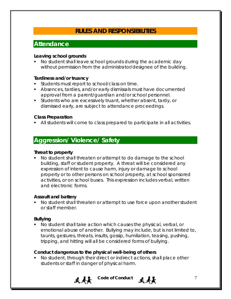# **RULES AND RESPONSIBILITIES**

# **Attendance**

### **Leaving school grounds**

 No student shall leave school grounds during the academic day without permission from the administrator/designee of the building.

### **Tardiness and/or truancy**

- **Students must report to school/class on time.**
- Absences, tardies, and/or early dismissals must have documented approval from a parent/guardian and/or school personnel.
- Students who are excessively truant, whether absent, tardy, or dismissed early, are subject to attendance proceedings.

### **Class Preparation**

All students will come to class prepared to participate in all activities.

## **Aggression/ Violence/ Safety**

### **Threat to property**

 No student shall threaten or attempt to do damage to the school building, staff or student property. A threat will be considered any expression of intent to cause harm, injury or damage to school property or to other persons on school property, at school sponsored activities, or on school buses. This expression includes verbal, written and electronic forms.

### **Assault and battery**

 No student shall threaten or attempt to use force upon another student or staff member.

### **Bullying**

 No student shall take action which causes the physical, verbal, or emotional abuse of another. Bullying may include, but is not limited to, taunts, gestures, threats, insults, gossip, humiliation, teasing, pushing, tripping, and hitting will all be considered forms of bullying.

### **Conduct dangerous to the physical well-being of others**

■ No student, through their direct or indirect actions, shall place other students or staff in danger of physical harm.

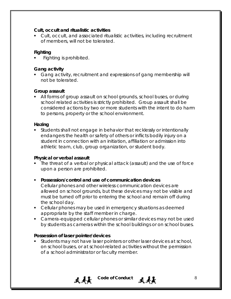### **Cult, occult and ritualistic activities**

 Cult, occult, and associated ritualistic activities, including recruitment of members, will not be tolerated.

### **Fighting**

Fighting is prohibited.

### **Gang activity**

Gang activity, recruitment and expressions of gang membership will not be tolerated.

### **Group assault**

• All forms of group assault on school grounds, school buses, or during school related activities is strictly prohibited. Group assault shall be considered actions by two or more students with the intent to do harm to persons, property or the school environment.

### **Hazing**

 Students shall not engage in behavior that recklessly or intentionally endangers the health or safety of others or inflicts bodily injury on a student in connection with an initiation, affiliation or admission into athletic team, club, group organization, or student body.

### **Physical or verbal assault**

• The threat of a verbal or physical attack (assault) and the use of force upon a person are prohibited.

### **Possession/control and use of communication devices**

Cellular phones and other wireless communication devices are allowed on school grounds, but these devices may *not* be visible and must be turned off prior to entering the school and remain off during the school day.

- Cellular phones may be used in emergency situations as deemed appropriate by the staff member in charge.
- **Camera-equipped cellular phones or similar devices may not be used** by students as cameras within the school buildings or on school buses.

### **Possession of laser pointer/devices**

**Students may not have laser pointers or other laser devices at school,** on school buses, or at school-related activities without the permission of a school administrator or faculty member.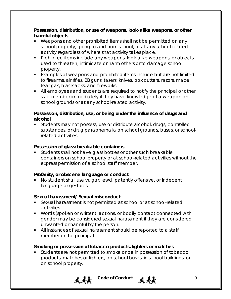**Possession, distribution, or use of weapons, look-alike weapons, or other harmful objects**

- Weapons and other prohibited items shall not be permitted on any school property, going to and from school, or at any school-related activity regardless of where that activity takes place.
- Prohibited items include any weapons, look-alike weapons, or objects used to threaten, intimidate or harm others or to damage school property.
- Examples of weapons and prohibited items include but are not limited to firearms, air rifles, BB guns, tasers, knives, box cutters, razors, mace, tear gas, blackjacks, and fireworks.
- All employees and students are required to notify the principal or other staff member immediately if they have knowledge of a weapon on school grounds or at any school-related activity.

### **Possession, distribution, use, or being under the influence of drugs and alcohol**

 Students may not possess, use or distribute alcohol, drugs, controlled substances, or drug paraphernalia on school grounds, buses, or schoolrelated activities.

### **Possession of glass/breakable containers**

 Students shall not have glass bottles or other such breakable containers on school property or at school-related activities without the express permission of a school staff member.

### **Profanity, or obscene language or conduct**

 No student shall use vulgar, lewd, patently offensive, or indecent language or gestures.

### **Sexual harassment/ Sexual misconduct**

- Sexual harassment is not permitted at school or at school-related activities.
- Words (spoken or written), actions, or bodily contact connected with gender may be considered sexual harassment if they are considered unwanted or harmful by the person.
- All instances of sexual harassment should be reported to a staff member or the principal.

### **Smoking or possession of tobacco products, lighters or matches**

 Students are not permitted to smoke or be in possession of tobacco products, matches or lighters, on school buses, in school buildings, or on school property.



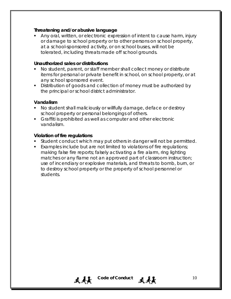### **Threatening and/or abusive language**

 Any oral, written, or electronic expression of intent to cause harm, injury or damage to school property or to other persons on school property, at a school-sponsored activity, or on school buses, will not be tolerated, including threats made off school grounds.

#### **Unauthorized sales or distributions**

- No student, parent, or staff member shall collect money or distribute items for personal or private benefit in school, on school property, or at any school sponsored event.
- Distribution of goods and collection of money must be authorized by the principal or school district administrator.

### **Vandalism**

- No student shall maliciously or willfully damage, deface or destroy school property or personal belongings of others.
- Graffiti is prohibited as well as computer and other electronic vandalism.

### **Violation of fire regulations**

- **Student conduct which may put others in danger will not be permitted.**
- Examples include but are not limited to violations of fire regulations; making false fire reports; falsely activating a fire alarm, ring lighting matches or any flame not an approved part of classroom instruction; use of incendiary or explosive materials, and threats to bomb, burn, or to destroy school property or the property of school personnel or students.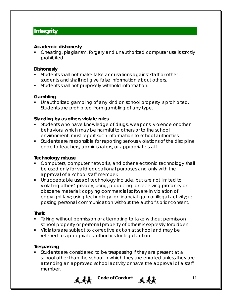# **Integrity**

### **Academic dishonesty**

• Cheating, plagiarism, forgery and unauthorized computer use is strictly prohibited.

### **Dishonesty**

- **Students shall not make false accusations against staff or other** students and shall not give false information about others.
- **Students shall not purposely withhold information.**

### **Gambling**

 Unauthorized gambling of any kind on school property is prohibited. Students are prohibited from gambling of any type.

### **Standing by as others violate rules**

- Students who have knowledge of drugs, weapons, violence or other behaviors, which may be harmful to others or to the school environment, must report such information to school authorities.
- Students are responsible for reporting serious violations of the discipline code to teachers, administrators, or appropriate staff.

### **Technology misuse**

- **Computers, computer networks, and other electronic technology shall** be used only for valid educational purposes and only with the approval of a school staff member.
- Unacceptable uses of technology include, but are not limited to violating others' privacy; using, producing, or receiving profanity or obscene material; copying commercial software in violation of copyright law; using technology for financial gain or illegal activity; reposting personal communication without the author's prior consent.

### **Theft**

- **Taking without permission or attempting to take without permission** school property or personal property of others is expressly forbidden.
- Violators are subject to corrective action at school and may be referred to appropriate authorities for legal action.

### **Trespassing**

 Students are considered to be trespassing if they are present at a school other than the school in which they are enrolled unless they are attending an approved school activity or have the approval of a staff member.



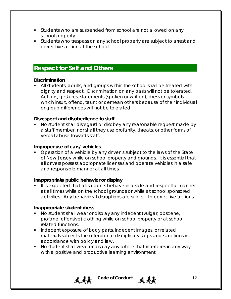- Students who are suspended from school are not allowed on any school property.
- **Students who trespass on any school property are subject to arrest and** corrective action at the school.

### **Respect for Self and Others**

### **Discrimination**

 All students, adults, and groups within the school shall be treated with dignity and respect. Discrimination on any basis will not be tolerated. Actions, gestures, statements (spoken or written), dress or symbols which insult, offend, taunt or demean others because of their individual or group differences will not be tolerated.

### **Disrespect and disobedience to staff**

 No student shall disregard or disobey any reasonable request made by a staff member, nor shall they use profanity, threats, or other forms of verbal abuse towards staff.

### **Improper use of cars/ vehicles**

• Operation of a vehicle by any driver is subject to the laws of the State of New Jersey while on school property and grounds. It is essential that all drivers possess appropriate licenses and operate vehicles in a safe and responsible manner at all times.

### **Inappropriate public behavior or display**

It is expected that all students behave in a safe and respectful manner at all times while on the school grounds or while at school sponsored activities. Any behavioral disruptions are subject to corrective actions.

### **Inappropriate student dress**

- No student shall wear or display any indecent (vulgar, obscene, profane, offensive) clothing while on school property or at school related functions.
- **Indecent exposure of body parts, indecent images, or related** materials subjects the offender to disciplinary steps and sanctions in accordance with policy and law.
- No student shall wear or display any article that interferes in any way with a positive and productive learning environment.



# $\mathbf{A}$  **L** Code of Conduct  $\mathbf{A}$  **12**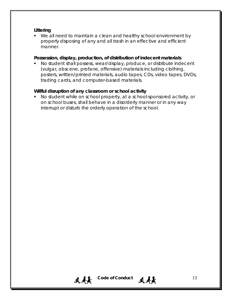### **Littering**

 We all need to maintain a clean and healthy school environment by properly disposing of any and all trash in an effective and efficient manner.

### **Possession, display, production, of distribution of indecent materials**

 No student shall possess, wear/display, produce, or distribute indecent (vulgar, obscene, profane, offensive) materials including clothing, posters, written/printed materials, audio tapes, CDs, video tapes, DVDs, trading cards, and computer-based materials.

### **Willful disruption of any classroom or school activity**

 No student while on school property, at a school-sponsored activity, or on school buses, shall behave in a disorderly manner or in any way interrupt or disturb the orderly operation of the school.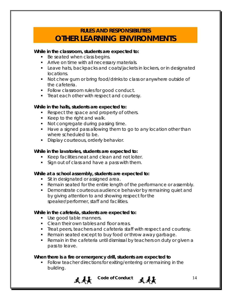# **RULES AND RESPONSIBILITIES OTHER LEARNING ENVIRONMENTS**

### **While in the classroom, students are expected to:**

- Be seated when class begins.
- **Arrive on time with all necessary materials.**
- **Leave hats, backpacks and coats/jackets in lockers, or in designated** locations.
- Not chew gum or bring food/drinks to class or anywhere outside of the cafeteria.
- **Follow classroom rules for good conduct.**
- **Treat each other with respect and courtesy.**

### **While in the halls, students are expected to:**

- Respect the space and property of others.
- Keep to the right and walk.
- Not congregate during passing time.
- Have a signed pass allowing them to go to any location other than where scheduled to be.
- **Display courteous, orderly behavior.**

#### **While in the lavatories, students are expected to:**

- Keep facilities neat and clean and not loiter.
- Sign out of class and have a pass with them.

### **While at a school assembly, students are expected to:**

- Sit in designated or assigned area.
- Remain seated for the entire length of the performance or assembly.
- **Demonstrate courteous audience behavior by remaining quiet and** by giving attention to and showing respect for the speaker/performer, staff and facilities.

### **While in the cafeteria, students are expected to:**

- Use good table manners.
- Clean their own tables and floor areas.
- Treat peers, teachers and cafeteria staff with respect and courtesy.
- Remain seated except to buy food or throw away garbage.
- **Remain in the cafeteria until dismissal by teachers on duty or given a** pass to leave.

### **When there is a fire or emergency drill, students are expected to**

 Follow teacher directions for exiting/entering or remaining in the building.

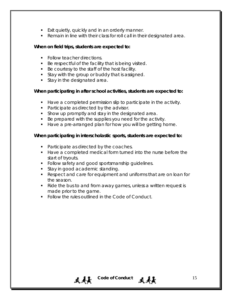- **Exit quietly, quickly and in an orderly manner.**
- Remain in line with their class for roll call in their designated area.

### **When on field trips, students are expected to:**

- **Follow teacher directions.**
- Be respectful of the facility that is being visited.
- Be courtesy to the staff of the host facility.
- **Stay with the group or buddy that is assigned.**
- **Stay in the designated area.**

### **When participating in after school activities, students are expected to:**

- Have a completed permission slip to participate in the activity.
- Participate as directed by the advisor.
- **Show up promptly and stay in the designated area.**
- Be prepared with the supplies you need for the activity.
- Have a pre-arranged plan for how you will be getting home.

### **When participating in interscholastic sports, students are expected to:**

- Participate as directed by the coaches.
- Have a completed medical form turned into the nurse before the start of tryouts.
- **Follow safety and good sportsmanship guidelines.**
- Stay in good academic standing.
- Respect and care for equipment and uniforms that are on loan for the season.
- Ride the bus to and from away games, unless a written request is made prior to the game.
- **Follow the rules outlined in the Code of Conduct.**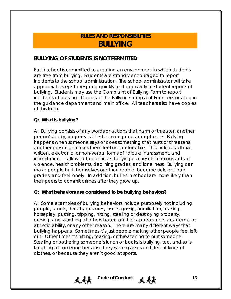# **RULES AND RESPONSIBILITIES BULLYING**

### **BULLYING OF STUDENTS IS NOT PERMITTED**

Each school is committed to creating an environment in which students are free from bullying. Students are strongly encouraged to report incidents to the school administration. The school administrator will take appropriate steps to respond quickly and decisively to student reports of bullying. Students may use the Complaint of Bullying Form to report incidents of bullying. Copies of the Bullying Complaint Form are located in the guidance department and main office. All teachers also have copies of this form.

### **Q: What is bullying?**

A: Bullying consists of any words or actions that harm or threaten another person's body, property, self-esteem or group acceptance. Bullying happens when someone says or does something that hurts or threatens another person or makes them feel uncomfortable. This includes all oral, written, electronic, or non-verbal forms of ridicule, harassment, and intimidation. If allowed to continue, bullying can result in serious acts of violence, health problems, declining grades, and loneliness. Bullying can make people hurt themselves or other people, become sick, get bad grades, and feel lonely. In addition, bullies in school are more likely than their peers to commit crimes after they grow up.

### **Q: What behaviors are considered to be bullying behaviors?**

A: Some examples of bullying behaviors include purposely not including people, taunts, threats, gestures, insults, gossip, humiliation, teasing, horseplay, pushing, tripping, hitting, stealing or destroying property, cursing, and laughing at others based on their appearance, academic or athletic ability, or any other reason. There are many different ways that bullying happens. Sometimes it's just people making other people feel left out. Other times it's hitting, teasing, or threatening to hurt someone. Stealing or bothering someone's lunch or books is bullying, too, and so is laughing at someone because they wear glasses or different kinds of clothes, or because they aren't good at sports.

**天天** Code of Conduct 天天天 16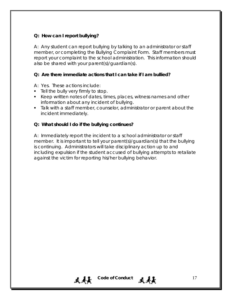### **Q: How can I report bullying?**

A: Any student can report bullying by talking to an administrator or staff member, or completing the Bullying Complaint Form. Staff members must report your complaint to the school administration. This information should also be shared with your parent(s)/guardian(s).

### **Q: Are there immediate actions that I can take if I am bullied?**

A: Yes. These actions include:

- **Tell the bully very firmly to stop.**
- Keep written notes of dates, times, places, witness names and other information about any incident of bullying.
- **Talk with a staff member, counselor, administrator or parent about the** incident immediately.

### **Q: What should I do if the bullying continues?**

A: Immediately report the incident to a school administrator or staff member. It is important to tell your parent(s)/guardian(s) that the bullying is continuing. Administrators will take disciplinary action up to and including expulsion if the student accused of bullying attempts to retaliate against the victim for reporting his/her bullying behavior.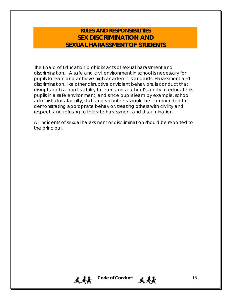### **RULES AND RESPONSIBILITIES SEX DISCRIMINATION AND SEXUAL HARASSMENT OF STUDENTS**

The Board of Education prohibits acts of sexual harassment and discrimination. A safe and civil environment in school is necessary for pupils to learn and achieve high academic standards. Harassment and discrimination, like other disruptive or violent behaviors, is conduct that disrupts both a pupil's ability to learn and a school's ability to educate its pupils in a safe environment; and since pupils learn by example, school administrators, faculty, staff and volunteers should be commended for demonstrating appropriate behavior, treating others with civility and respect, and refusing to tolerate harassment and discrimination.

All incidents of sexual harassment or discrimination should be reported to the principal.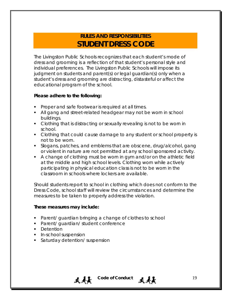# **RULES AND RESPONSIBILITIES STUDENT DRESS CODE**

The Livingston Public Schools recognizes that each student's mode of dress and grooming is a reflection of that student's personal style and individual preferences. The Livingston Public Schools will impose its judgment on students and parent(s) or legal guardian(s) only when a student's dress and grooming are distracting, distasteful or affect the educational program of the school.

### **Please adhere to the following:**

- **Proper and safe footwear is required at all times.**
- All gang and street-related headgear may not be worn in school buildings.
- Clothing that is distracting or sexually revealing is not to be worn in school.
- Clothing that could cause damage to any student or school property is not to be worn.
- Slogans, patches, and emblems that are obscene, drug/alcohol, gang or violent in nature are not permitted at any school sponsored activity.
- A change of clothing must be worn in gym and/or on the athletic field at the middle and high school levels. Clothing worn while actively participating in physical education class is not to be worn in the classroom in schools where lockers are available.

Should students report to school in clothing which does not conform to the Dress Code, school staff will review the circumstances and determine the measures to be taken to properly address the violation.

### **These measures may include:**

- **Parent/ guardian bringing a change of clothes to school**
- **Parent/ guardian/ student conference**
- **Detention**
- **In-school suspension**
- **Saturday detention/ suspension**

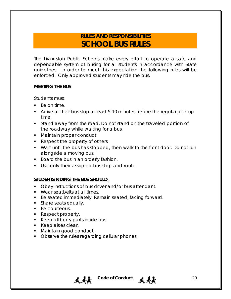# **RULES AND RESPONSIBILITIES SCHOOL BUS RULES**

The Livingston Public Schools make every effort to operate a safe and dependable system of busing for all students in accordance with State guidelines. In order to meet this expectation the following rules will be enforced. Only approved students may ride the bus.

### **MEETING THE BUS**

Students must:

- Be on time.
- Arrive at their bus stop at least 5-10 minutes before the regular pick-up time.
- Stand away from the road. Do not stand on the traveled portion of the roadway while waiting for a bus.
- **Maintain proper conduct.**
- Respect the property of others.
- Wait until the bus has stopped, then walk to the front door. Do not run alongside a moving bus.

 $\mathbf{A}$  **20** Code of Conduct  $\mathbf{A}$   $\mathbf{A}$ 

- Board the bus in an orderly fashion.
- **Use only their assigned bus stop and route.**

### **STUDENTS RIDING THE BUS SHOULD**:

- **Divides** Deey instructions of bus driver and/or bus attendant.
- **Wear seatbelts at all times.**
- **Be seated immediately. Remain seated, facing forward.**
- **Share seats equally.**
- **Be courteous.**
- Respect property.
- Keep all body parts inside bus.
- Keep aisles clear.
- **Maintain good conduct.**
- Observe the rules regarding cellular phones.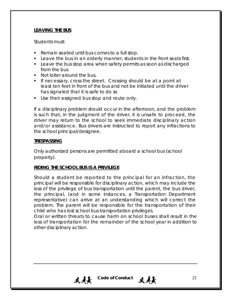### **LEAVING THE BUS**

Students must:

- **Remain seated until bus comes to a full stop.**
- **Leave the bus in an orderly manner, students in the front seats first.**
- **Leave the bus stop area when safety permits as soon as discharged** from the bus
- Not loiter around the bus.
- **If necessary, cross the street. Crossing should be at a point at** least ten feet in front of the bus and not be initiated until the driver has signaled that it is safe to do so
- Use their assigned bus stop and route only.

If a disciplinary problem should occur in the afternoon, and the problem is such that, in the judgment of the driver, it is unsafe to proceed, the driver may return to the school to seek immediate disciplinary action and/or assistance. Bus drivers are instructed to report any infractions to the school principal/designee.

### **TRESPASSING**

Only authorized persons are permitted aboard a school bus (school property).

### **RIDING THE SCHOOL BUS IS A PRIVILEGE**

Should a student be reported to the principal for an infraction, the principal will be responsible for disciplinary action, which may include the loss of the privilege of bus transportation until the parent, the bus driver, the principal, (and in some instances, a Transportation Department representative) can arrive at an understanding which will correct the problem. The parent will be responsible for the transportation of their child who has lost school bus transportation privileges.

Oral or written threats to cause harm on school buses shall result in the loss of transportation for the remainder of the school year in addition to other disciplinary action.

天美 Code of Conduct 天美 21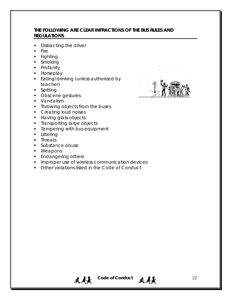### **THE FOLLOWING ARE CLEAR INFRACTIONS OF THE BUS RULES AND REGULATIONS**

- Distracting the driver
- **Fire**
- **Fighting**
- **Smoking**
- **•** Profanity
- **Horseplay**
- **Eating/drinking (unless authorized by** teacher)
- **Spitting**
- **Obscene gestures**
- **vandalism**
- Throwing objects from the buses
- **Creating loud noises**
- **Having glass objects**
- **Transporting large objects**
- **Tampering with bus equipment**
- **Littering**
- **Threats**
- **Substance abuse**
- **•** Weapons
- **Endangering others**
- **IMPROPER USE OF WIRELESS COMMUNICATION devices**

天美 Code of Conduct 天美 22

**• Other violations listed in the Code of Conduct** 

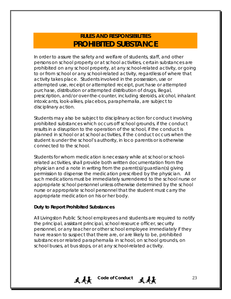# **RULES AND RESPONSIBILITIES PROHIBITED SUBSTANCE**

In order to assure the safety and welfare of students, staff, and other persons on school property or at school activities, certain substances are prohibited on any school property, at any school-related activity, or going to or from school or any school-related activity, regardless of where that activity takes place. Students involved in the possession, use or attempted use, receipt or attempted receipt, purchase or attempted purchase, distribution or attempted distribution of drugs, illegal, prescription, and/or over-the-counter, including steroids, alcohol, inhalant intoxicants, look-alikes, placebos, paraphernalia, are subject to disciplinary action.

Students may also be subject to disciplinary action for conduct involving prohibited substances which occurs off school grounds, if the conduct results in a disruption to the operation of the school, if the conduct is planned in school or at school activities, if the conduct occurs when the student is under the school's authority, *in loco parentis* or is otherwise connected to the school.

Students for whom medication is necessary while at school or schoolrelated activities, shall provide both written documentation from the physician and a note in writing from the parent(s)/guardian(s) giving permission to dispense the medication prescribed by the physician. All such medications must be immediately surrendered to the school nurse or appropriate school personnel unless otherwise determined by the school nurse or appropriate school personnel that the student must carry the appropriate medication on his or her body.

### **Duty to Report Prohibited Substances**

All Livingston Public School employees and students are required to notify the principal, assistant principal, school resource officer, security personnel, or any teacher or other school employee immediately if they have reason to suspect that there are, or are likely to be, prohibited substances or related paraphernalia in school, on school grounds, on school buses, at bus stops, or at any school-related activity.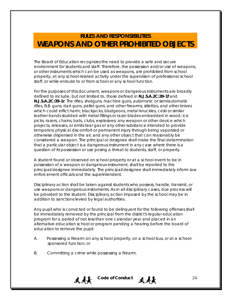# **RULES AND RESPONSIBILITIES WEAPONS AND OTHER PROHIBITED OBJECTS**

The Board of Education recognizes the need to provide a safe and secure environment for students and staff. Therefore, the possession and/or use of weapons, or other instruments which can be used as weapons, are prohibited from school property, at any school-related activity under the supervision of professional school staff, or while enroute to or from school or any school function.

For the purposes of this document, weapons or dangerous instruments are broadly defined to include, but not limited to, those defined in **N.J.S.A.2C:39-1f** and **N.J.S.A.2C:39-1r**. The rifles, shotguns, machine guns, automatic or semiautomatic rifles, B.B. guns, dart guns, pellet guns, and other firearms; stilettos, and other knives which could inflict harm; blackjacks, bludgeons, metal knuckles, cesti or similar leather bands studded with metal fillings or razor blades embedded in wood; ice picks, razors, chains, bats, clubs, explosives; any weapon or other device which projects, releases, or emits tear gas or any other substance intended to provide temporary physical discomfort or permanent injury through being vaporized or otherwise dispensed in the air; and any other object that can reasonably be considered a weapon. The principal or designee shall make the final determination that a particular object is a dangerous instrument in any case where there is a question of its possession or use posing a threat to students, staff, or property.

A student found or observed on school property or at a school event to be in possession of a weapon or dangerous instrument, shall be reported to the principal/designee immediately. The principal/designee shall immediately inform law enforcement officials and the superintendent.

Disciplinary action shall be taken against students who possess, handle, transmit, or use weapons or dangerous instruments. As in all disciplinary cases, due process will be provided to the student. Disciplinary action imposed by the school may be in addition to sanctions levied by legal authorities.

Any pupil who is convicted or found to be delinquent for the following offenses shall be immediately removed by the principal from the district's regular education program for a period of not less than one calendar year and placed in an alternative education school or program pending a hearing before the board of education to remove the pupil:

- A. Possessing a firearm on any school property, on a school bus, or at a schoolsponsored function; or
- B. Committing a crime while possessing a firearm.

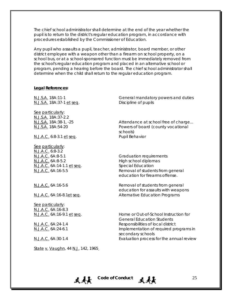The chief school administrator shall determine at the end of the year whether the pupil is to return to the district's regular education program, in accordance with procedures established by the Commissioner of Education.

Any pupil who assaults a pupil, teacher, administrator, board member, or other district employee with a weapon other than a firearm on school property, on a school bus, or at a school-sponsored function must be immediately removed from the school's regular education program and placed in an alternative school or program, pending a hearing before the board. The chief school administrator shall determine when the child shall return to the regular education program.

#### **Legal References:**

N.J.S.A. 18A:37-1 et seq. Discipline of pupils

*See particularly: N.J.S.A. 18A:37-2.2*

N.J.A.C. 6:8-3.1 et seq. Pupil Behavior

See particularly: N.J.A.C. 6:8-3.2 N.J.A.C. 6A:8-5.1 Graduation requirements N.J.A.C. 6A:8-5.2 High school diplomas N.J.A.C. 6A:14-1.1 et seq. Special Education

See particularly: *N.J.A.C. 6A:16-8.3*

State v. Vaughn, 44 N.J. 142, 1965

N.J.S.A. 18A:11-1 General mandatory powers and duties

N.J.S.A. 18A:38-1, -25 Attendance at school free of charge... N.J.S.A. 18A:54-20 Powers of board (county vocational schools)

N.J.A.C. 6A:16-5.5 Removal of students from general education for firearms offense.

N.J.A.C. 6A:16-5.6 Removal of students from general education for assaults with weapons N.J.A.C. 6A:16-8.1et seq. Alternative Education Programs

N.J.A.C. 6A:16-9.1 et seq. Home or Out-of-School Instruction for General Education Students N.J.A.C. 6A:24-1.4 Responsibilities of local district N.J.A.C. 6A:24-6.1 Implementation of required programs in secondary schools N.J.A.C. 6A:30-1.4 Evaluation process for the annual review

 $\mathbf{A}$  **L** Code of Conduct  $\mathbf{A}$  **25**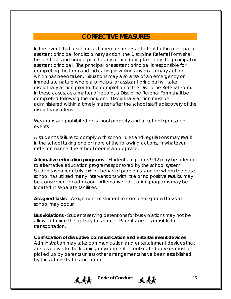### **CORRECTIVE MEASURES**

In the event that a school staff member refers a student to the principal or assistant principal for disciplinary action, the Discipline Referral Form shall be filled out and signed prior to any action being taken by the principal or assistant principal. The principal or assistant principal is responsible for completing the form and indicating in writing any disciplinary action which has been taken. Situations may also arise of an emergency or immediate nature where a principal or assistant principal will take disciplinary action prior to the completion of the Discipline Referral Form. In these cases, as a matter of record, a Discipline Referral Form shall be completed following the incident. Disciplinary action must be administered within a timely matter after the school staff's discovery of the disciplinary offense.

Weapons are prohibited on school property and at school-sponsored events.

A student's failure to comply with school rules and regulations may result in the school taking one or more of the following actions, in whatever order or manner the school deems appropriate:

**Alternative education programs –** Students in grades 9-12 may be referred to alternative education programs sponsored by the school system. Students who regularly exhibit behavior problems, and for whom the base school has utilized many interventions with little or no positive results, may be considered for admission. Alternative education programs may be located in separate facilities.

**Assigned tasks** – Assignment of student to complete special tasks at school may occur.

**Bus violations** - Students serving detentions for bus violations may not be allowed to ride the activity bus home. Parents are responsible for transportation.

**Confiscation of disruptive communication and entertainment devices** – Administration may take communication and entertainment devices that are disruptive to the learning environment. Confiscated devises must be picked up by parents unless other arrangements have been established by the administrator and parent.

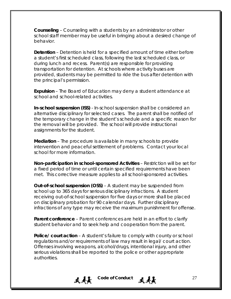**Counseling** – Counseling with a students by an administrator or other school staff member may be useful in bringing about a desired change of behavior.

**Detention** – Detention is held for a specified amount of time either before a student's first scheduled class, following the last scheduled class, or during lunch and recess. Parent(s) are responsible for providing transportation for detention. At schools where activity buses are provided, students may be permitted to ride the bus after detention with the principal's permission.

**Expulsion** – The Board of Education may deny a student attendance at school and school-related activities.

**In-school suspension (ISS)** - In-school suspension shall be considered an alternative disciplinary for selected cases. The parent shall be notified of the temporary change in the student's schedule and a specific reason for the removal will be provided. The school will provide instructional assignments for the student.

**Mediation** – The procedure is available in many schools to provide intervention and peaceful settlement of problems. Contact your local school for more information.

**Non-participation in school-sponsored Activities** – Restriction will be set for a fixed period of time or until certain specified requirements have been met. This corrective measure applies to all school-sponsored activities.

**Out-of-school suspension (OSS)** – A student may be suspended from school up to 365 days for serious disciplinary infractions. A student receiving out-of-school suspension for five days or more shall be placed on disciplinary probation for 90 calendar days. Further disciplinary infractions of any type may receive the maximum punishment for offense.

**Parent conference** – Parent conferences are held in an effort to clarify student behavior and to seek help and cooperation from the parent.

**Police/ court action** – A student's failure to comply with county or school regulations and/or requirements of law may result in legal/ court action. Offenses involving weapons, alcohol/drugs, intentional injury, and other serious violations shall be reported to the police or other appropriate authorities.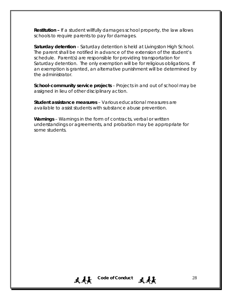**Restitution –** If a student willfully damages school property, the law allows schools to require parents to pay for damages.

**Saturday detention** – Saturday detention is held at Livingston High School. The parent shall be notified in advance of the extension of the student's schedule. Parent(s) are responsible for providing transportation for Saturday detention. The only exemption will be for religious obligations. If an exemption is granted, an alternative punishment will be determined by the administrator.

**School-community service projects** – Projects in and out of school may be assigned in lieu of other disciplinary action.

**Student assistance measures** – Various educational measures are available to assist students with substance abuse prevention.

**Warnings** – Warnings in the form of contracts, verbal or written understandings or agreements, and probation may be appropriate for some students.

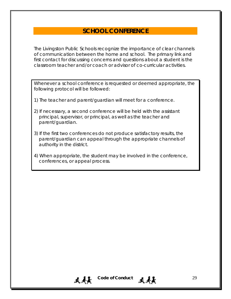### **SCHOOL CONFERENCE**

The Livingston Public Schools recognize the importance of clear channels of communication between the home and school. The primary link and first contact for discussing concerns and questions about a student is the classroom teacher and/or coach or advisor of co-curricular activities.

Whenever a school conference is requested or deemed appropriate, the following protocol will be followed:

- 1) The teacher and parent/guardian will meet for a conference.
- 2) If necessary, a second conference will be held with the assistant principal, supervisor, or principal, as well as the teacher and parent/guardian.
- 3) If the first two conferences do not produce satisfactory results, the parent/guardian can appeal through the appropriate channels of authority in the district.
- 4) When appropriate, the student may be involved in the conference, conferences, or appeal process.

天美 Code of Conduct 天美美 29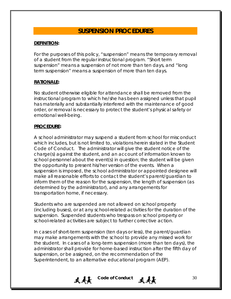### **SUSPENSION PROCEDURES**

### **DEFINITION:**

For the purposes of this policy, "suspension" means the temporary removal of a student from the regular instructional program. "Short term suspension" means a suspension of not more than ten days, and "long term suspension" means a suspension of more than ten days.

### **RATIONALE:**

No student otherwise eligible for attendance shall be removed from the instructional program to which he/she has been assigned unless that pupil has materially and substantially interfered with the maintenance of good order, or removal is necessary to protect the student's physical safety or emotional well-being.

### **PROCEDURE:**

A school administrator may suspend a student from school for misconduct which includes, but is not limited to, violations herein stated in the Student Code of Conduct. The administrator will give the student notice of the charge(s) against the student, and an account of information known to school personnel about the event(s) in question; the student will be given the opportunity to present his/her version of the events. When a suspension is imposed, the school administrator or appointed designee will make all reasonable efforts to contact the student's parent/guardian to inform them of the reason for the suspension, the length of suspension (as determined by the administrator), and any arrangements for transportation home, if necessary.

Students who are suspended are not allowed on school property (including buses), or at any school-related activities for the duration of the suspension. Suspended students who trespass on school property or school-related activities are subject to further corrective action.

In cases of short-term suspension (ten days or less), the parent/guardian may make arrangements with the school to provide any missed work for the student. In cases of a long-term suspension (more than ten days), the administrator shall provide for home-based instruction after the fifth day of suspension, or be assigned, on the recommendation of the Superintendent, to an alternative educational program (AEP).

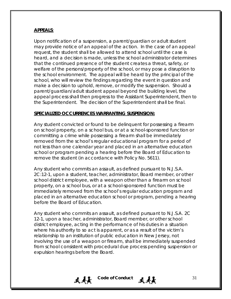### **APPEALS**:

Upon notification of a suspension, a parent/guardian or adult student may provide notice of an appeal of the action. In the case of an appeal request, the student shall be allowed to attend school until the case is heard, and a decision is made, unless the school administrator determines that the continued presence of the student creates a threat, safety, or welfare of the persons/property of the school, or may pose a disruption to the school environment. The appeal will be heard by the principal of the school, who will review the findings regarding the event in question and make a decision to uphold, remove, or modify the suspension. Should a parent/guardian/adult student appeal beyond the building level, the appeal process shall then progress to the Assistant Superintendent, then to the Superintendent. The decision of the Superintendent shall be final.

### **SPECIALIZED OCCURRENCES WARRANTING SUSPENSION:**

Any student convicted or found to be delinquent for possessing a firearm on school property, on a school bus, or at a school-sponsored function or committing a crime while possessing a firearm shall be immediately removed from the school's regular educational program for a period of not less than one calendar year and placed in an alternative education school or program pending a hearing before the Board of Education to remove the student (in accordance with Policy No. 5611).

Any student who commits an assault, as defined pursuant to N.J.S.A. 2C:12-1, upon a student, teacher, administrator, Board member, or other school district employee, with a weapon other than a firearm on school property, on a school bus, or at a school-sponsored function must be immediately removed from the school's regular education program and placed in an alternative education school or program, pending a hearing before the Board of Education.

Any student who commits an assault, as defined pursuant to N.J.S.A. 2C 12-1, upon a teacher, administrator, Board member, or other school district employee, acting in the performance of his duties in a situation where his authority to so act is apparent, or as a result of the victim's relationship to an institution of public education in New Jersey, not involving the use of a weapon or firearm, shall be immediately suspended from school consistent with procedural due process pending suspension or expulsion hearings before the Board.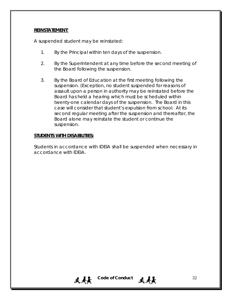#### **REINSTATEMENT**:

A suspended student may be reinstated:

- 1. By the Principal within ten days of the suspension.
- 2. By the Superintendent at any time before the second meeting of the Board following the suspension.
- 3. By the Board of Education at the first meeting following the suspension. (Exception, no student suspended for reasons of assault upon a person in authority may be reinstated before the Board has held a hearing which must be scheduled within twenty-one calendar days of the suspension. The Board in this case will consider that student's expulsion from school. At its second regular meeting after the suspension and thereafter, the Board alone may reinstate the student or continue the suspension.

### **STUDENTS WITH DISABILITIES:**

Students in accordance with IDEIA shall be suspended when necessary in accordance with IDEIA.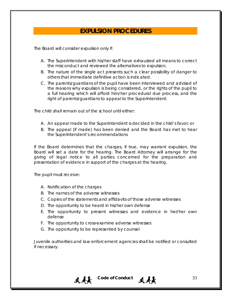### **EXPULSION PROCEDURES**

The Board will consider expulsion only if:

- A. The Superintendent with his/her staff have exhausted all means to correct the misconduct and reviewed the alternatives to expulsion.
- B. The nature of the single act presents such a clear possibility of danger to others that immediate definitive action is indicated.
- C. The parents/guardians of the pupil have been interviewed and advised of the reasons why expulsion is being considered, or the rights of the pupil to a full hearing which will afford him/her procedural due process, and the right of parents/guardians to appeal to the Superintendent.

The child shall remain out of the school until either:

- A. An appeal made to the Superintendent is decided in the child's favor; or
- B. The appeal (if made) has been denied and the Board has met to hear the Superintendent's recommendations

If the Board determines that the charges, if true, may warrant expulsion, the Board will set a date for the hearing. The Board Attorney will arrange for the giving of legal notice to all parties concerned for the preparation and presentation of evidence in support of the charges at the hearing.

The pupil must receive:

- A. Notification of the charges
- B. The names of the adverse witnesses
- C. Copies of the statements and affidavits of those adverse witnesses
- D. The opportunity to be heard in his/her own defense
- E. The opportunity to present witnesses and evidence in her/her own defense
- F. The opportunity to cross-examine adverse witnesses
- G. The opportunity to be represented by counsel

Juvenile authorities and law enforcement agencies shall be notified or consulted if necessary.

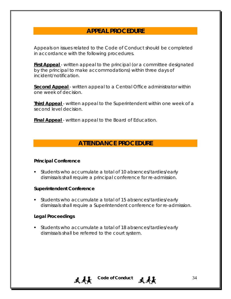### **APPEAL PROCEDURE**

Appeals on issues related to the Code of Conduct should be completed in accordance with the following procedures.

**First Appeal** - written appeal to the principal (or a committee designated by the principal to make accommodations) within three days of incident/notification.

**Second Appeal** - written appeal to a Central Office administrator within one week of decision.

**Third Appeal** - written appeal to the Superintendent within one week of a second level decision.

**Final Appeal** - written appeal to the Board of Education.

### **ATTENDANCE PROCEDURE**

#### **Principal Conference**

 Students who accumulate a total of 10 absences/tardies/early dismissals shall require a principal conference for re-admission.

#### **Superintendent Conference**

 Students who accumulate a total of 15 absences/tardies/early dismissals shall require a Superintendent conference for re-admission.

### **Legal Proceedings**

 Students who accumulate a total of 18 absences/tardies/early dismissals shall be referred to the court system.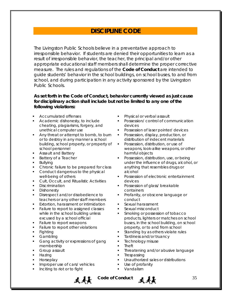### **DISCIPLINE CODE**

The Livingston Public Schools believe in a preventative approach to irresponsible behavior. If students are denied their opportunities to learn as a result of irresponsible behavior, the teacher, the principal and/or other appropriate educational staff members shall determine the proper corrective measure. The rules and regulations of the *Code of Conduct* are intended to guide students' behavior in the school buildings, on school buses, to and from school, and during participation in any activity sponsored by the Livingston Public Schools.

### **As set forth in the Code of Conduct, behavior currently viewed as just cause for disciplinary action shall include but not be limited to any one of the following violations:**

- Accumulated offenses
- Academic dishonesty, to include cheating, plagiarisms, forgery, and unethical computer use
- Any threat or attempt to bomb, to burn or to destroy in any manner a school building, school property, or property of school personnel
- Assault and Battery
- Battery of a Teacher
- Bullying
- Chronic failure to be prepared for class
- Conduct dangerous to the physical well-being of others
- Cult, Occult, and Ritualistic Activities
- **Discrimination**
- **Dishonesty**
- Disrespect and/or disobedience to teachers or any other staff members
- Extortion, harassment or intimidation
- Failure to report to assigned classes while in the school building unless excused by a school official
- Failure to report weapons
- Failure to report other violations
- Fighting
- Gambling
- Gang activity or expressions of gang membership
- Group assault
- Hazing
- Horseplay
- Improper use of cars/ vehicles
- Inciting to riot or to fight
- Physical or verbal assault
- Possession/ control of communication devices
- Possession of laser pointer/ devices
- **Possession, display, production, or** distribution of indecent materials
- **Possession, distribution, or use of** weapons, look-alike weapons, or other harmful objects
- **Possession, distribution, use, or being** under the influence of drugs, alcohol, or anything that resembles drugs or alcohol
- **Possession of electronic entertainment** devices
- Possession of glass/ breakable containers
- Profanity, or obscene language or conduct
- **Sexual harassment**
- Sexual misconduct
- Smoking or possession of tobacco products, lighters or matches on school buses, in the school building, on school property, or to and from school
- Standing by as others violate rules
- Tardiness and/or truancy
- Technology misuse
- Theft
- Threatening and/or abusive language
- Trespassing
- Unauthorized sales or distributions
- Use of profanity
- Vandalism



**表示** Code of Conduct **表示** 35

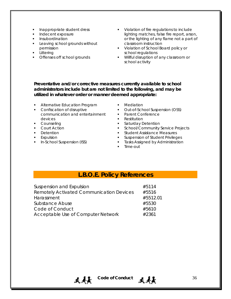- Inappropriate student dress
- Indecent exposure
- Insubordination
- **Leaving school grounds without** permission
- Littering
- Offenses off school grounds
- **Violation of fire regulations to include** lighting matches, false fire report, arson, or the lighting of any flame not a part of classroom instruction
- **Violation of School Board policy or** school regulations
- **Willful disruption of any classroom or** school activity

**Preventative and/or corrective measures currently available to school administrators include but are not limited to the following, and may be utilized in whatever order or manner deemed appropriate:** 

- **Alternative Education Program**
- **Confiscation of disruptive** communication and entertainment devices
- Counseling
- **Court Action**
- **Detention**
- **Expulsion**
- **In-School Suspension (ISS)**
- **Mediation**
- Out-of-School Suspension (OSS)
- **Parent Conference**
- Restitution
- **Saturday Detention**
- **School/Community Service Projects**
- **Student Assistance Measures**
- Suspension of Student Privileges
- **Tasks Assigned by Administration**
- Time-out

### **L.B.O.E. Policy References**

| Suspension and Expulsion                        | #5114    |
|-------------------------------------------------|----------|
| <b>Remotely Activated Communication Devices</b> | #5516    |
| Harassment                                      | #5512.01 |
| Substance Abuse                                 | #5530    |
| Code of Conduct                                 | #5610    |
| Acceptable Use of Computer Network              | #2361    |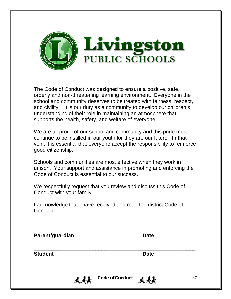

The Code of Conduct was designed to ensure a positive, safe, orderly and non-threatening learning environment. Everyone in the school and community deserves to be treated with fairness, respect, and civility. It is our duty as a community to develop our children's understanding of their role in maintaining an atmosphere that supports the health, safety, and welfare of everyone.

We are all proud of our school and community and this pride must continue to be instilled in our youth for they are our future. In that vein, it is essential that everyone accept the responsibility to reinforce good citizenship.

Schools and communities are most effective when they work in unison. Your support and assistance in promoting and enforcing the Code of Conduct is essential to our success.

We respectfully request that you review and discuss this Code of Conduct with your family.

I acknowledge that I have received and read the district Code of Conduct.

| Parent/guardian |                        | <b>Date</b> |    |
|-----------------|------------------------|-------------|----|
| <b>Student</b>  |                        | <b>Date</b> |    |
| 4 A E           | <b>Code of Conduct</b> | 4 A L       | 37 |